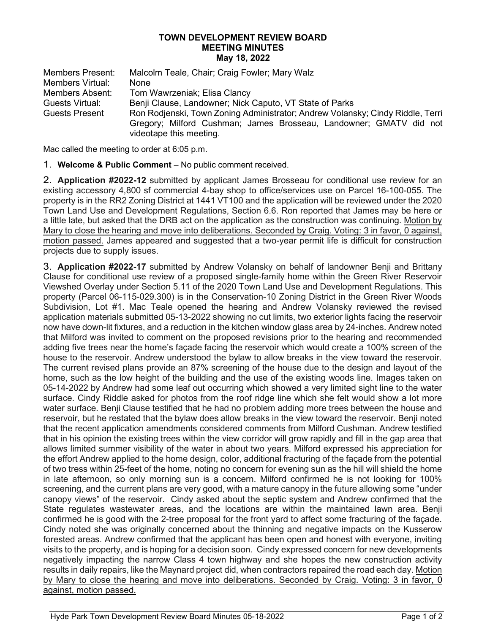## TOWN DEVELOPMENT REVIEW BOARD MEETING MINUTES May 18, 2022

| <b>Members Present:</b> | Malcolm Teale, Chair; Craig Fowler; Mary Walz                                                 |
|-------------------------|-----------------------------------------------------------------------------------------------|
| Members Virtual:        | None                                                                                          |
| Members Absent:         | Tom Wawrzeniak; Elisa Clancy                                                                  |
| Guests Virtual:         | Benji Clause, Landowner; Nick Caputo, VT State of Parks                                       |
| <b>Guests Present</b>   | Ron Rodjenski, Town Zoning Administrator; Andrew Volansky; Cindy Riddle, Terri                |
|                         | Gregory; Milford Cushman; James Brosseau, Landowner; GMATV did not<br>videotape this meeting. |

Mac called the meeting to order at 6:05 p.m.

1. Welcome & Public Comment – No public comment received.

2. Application #2022-12 submitted by applicant James Brosseau for conditional use review for an existing accessory 4,800 sf commercial 4-bay shop to office/services use on Parcel 16-100-055. The property is in the RR2 Zoning District at 1441 VT100 and the application will be reviewed under the 2020 Town Land Use and Development Regulations, Section 6.6. Ron reported that James may be here or a little late, but asked that the DRB act on the application as the construction was continuing. Motion by Mary to close the hearing and move into deliberations. Seconded by Craig. Voting: 3 in favor, 0 against, motion passed. James appeared and suggested that a two-year permit life is difficult for construction projects due to supply issues.

3. Application #2022-17 submitted by Andrew Volansky on behalf of landowner Benji and Brittany Clause for conditional use review of a proposed single-family home within the Green River Reservoir Viewshed Overlay under Section 5.11 of the 2020 Town Land Use and Development Regulations. This property (Parcel 06-115-029.300) is in the Conservation-10 Zoning District in the Green River Woods Subdivision, Lot #1. Mac Teale opened the hearing and Andrew Volansky reviewed the revised application materials submitted 05-13-2022 showing no cut limits, two exterior lights facing the reservoir now have down-lit fixtures, and a reduction in the kitchen window glass area by 24-inches. Andrew noted that Milford was invited to comment on the proposed revisions prior to the hearing and recommended adding five trees near the home's façade facing the reservoir which would create a 100% screen of the house to the reservoir. Andrew understood the bylaw to allow breaks in the view toward the reservoir. The current revised plans provide an 87% screening of the house due to the design and layout of the home, such as the low height of the building and the use of the existing woods line. Images taken on 05-14-2022 by Andrew had some leaf out occurring which showed a very limited sight line to the water surface. Cindy Riddle asked for photos from the roof ridge line which she felt would show a lot more water surface. Benji Clause testified that he had no problem adding more trees between the house and reservoir, but he restated that the bylaw does allow breaks in the view toward the reservoir. Benji noted that the recent application amendments considered comments from Milford Cushman. Andrew testified that in his opinion the existing trees within the view corridor will grow rapidly and fill in the gap area that allows limited summer visibility of the water in about two years. Milford expressed his appreciation for the effort Andrew applied to the home design, color, additional fracturing of the façade from the potential of two tress within 25-feet of the home, noting no concern for evening sun as the hill will shield the home in late afternoon, so only morning sun is a concern. Milford confirmed he is not looking for 100% screening, and the current plans are very good, with a mature canopy in the future allowing some "under canopy views" of the reservoir. Cindy asked about the septic system and Andrew confirmed that the State regulates wastewater areas, and the locations are within the maintained lawn area. Benji confirmed he is good with the 2-tree proposal for the front yard to affect some fracturing of the façade. Cindy noted she was originally concerned about the thinning and negative impacts on the Kusserow forested areas. Andrew confirmed that the applicant has been open and honest with everyone, inviting visits to the property, and is hoping for a decision soon. Cindy expressed concern for new developments negatively impacting the narrow Class 4 town highway and she hopes the new construction activity results in daily repairs, like the Maynard project did, when contractors repaired the road each day. Motion by Mary to close the hearing and move into deliberations. Seconded by Craig. Voting: 3 in favor, 0 against, motion passed.